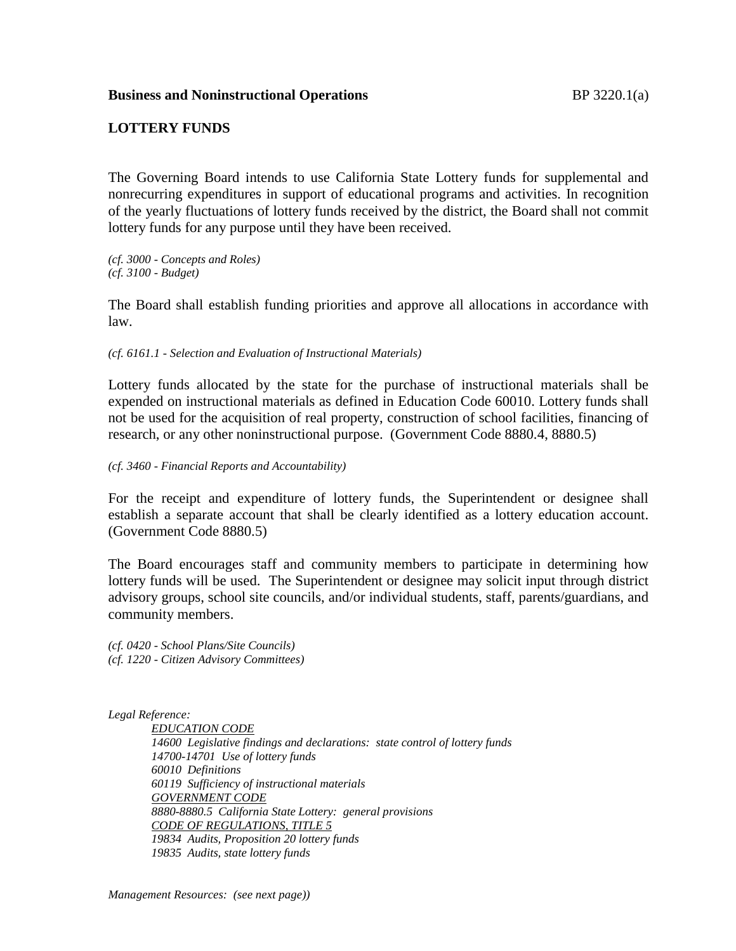## **Business and Noninstructional Operations BP** 3220.1(a)

## **LOTTERY FUNDS**

The Governing Board intends to use California State Lottery funds for supplemental and nonrecurring expenditures in support of educational programs and activities. In recognition of the yearly fluctuations of lottery funds received by the district, the Board shall not commit lottery funds for any purpose until they have been received.

*(cf. 3000 - Concepts and Roles) (cf. 3100 - Budget)*

The Board shall establish funding priorities and approve all allocations in accordance with law.

*(cf. 6161.1 - Selection and Evaluation of Instructional Materials)*

Lottery funds allocated by the state for the purchase of instructional materials shall be expended on instructional materials as defined in Education Code 60010. Lottery funds shall not be used for the acquisition of real property, construction of school facilities, financing of research, or any other noninstructional purpose. (Government Code 8880.4, 8880.5)

*(cf. 3460 - Financial Reports and Accountability)*

For the receipt and expenditure of lottery funds, the Superintendent or designee shall establish a separate account that shall be clearly identified as a lottery education account. (Government Code 8880.5)

The Board encourages staff and community members to participate in determining how lottery funds will be used. The Superintendent or designee may solicit input through district advisory groups, school site councils, and/or individual students, staff, parents/guardians, and community members.

*(cf. 0420 - School Plans/Site Councils) (cf. 1220 - Citizen Advisory Committees)*

*Legal Reference:*

*EDUCATION CODE 14600 Legislative findings and declarations: state control of lottery funds 14700-14701 Use of lottery funds 60010 Definitions 60119 Sufficiency of instructional materials GOVERNMENT CODE 8880-8880.5 California State Lottery: general provisions CODE OF REGULATIONS, TITLE 5 19834 Audits, Proposition 20 lottery funds 19835 Audits, state lottery funds*